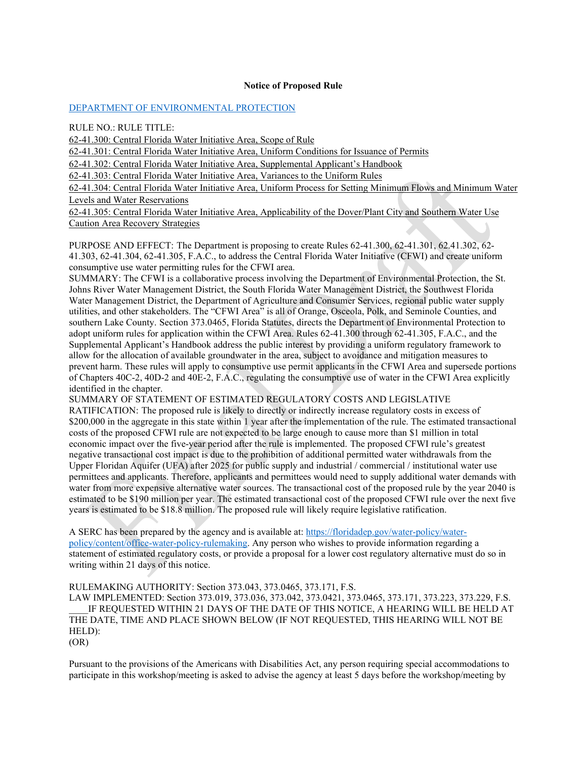#### **Notice of Proposed Rule**

#### [DEPARTMENT OF ENVIRONMENTAL PROTECTION](https://flrules.org/gateway/department.asp?id=62)

RULE NO.: RULE TITLE:

[62-41.300:](https://www.flrules.org/gateway/ruleNo.asp?id=62-41.300) Central Florida Water Initiative Area, Scope of Rule

[62-41.301:](https://www.flrules.org/gateway/ruleNo.asp?id=62-41.301) Central Florida Water Initiative Area, Uniform Conditions for Issuance of Permits

[62-41.302:](https://www.flrules.org/gateway/ruleNo.asp?id=62-41.302) Central Florida Water Initiative Area, Supplemental Applicant's Handbook

[62-41.303:](https://www.flrules.org/gateway/ruleNo.asp?id=62-41.303) Central Florida Water Initiative Area, Variances to the Uniform Rules

[62-41.304:](https://www.flrules.org/gateway/ruleNo.asp?id=62-41.304) Central Florida Water Initiative Area, Uniform Process for Setting Minimum Flows and Minimum Water Levels and Water Reservations

[62-41.305:](https://www.flrules.org/gateway/ruleNo.asp?id=62-41.305) Central Florida Water Initiative Area, Applicability of the Dover/Plant City and Southern Water Use Caution Area Recovery Strategies

PURPOSE AND EFFECT: The Department is proposing to create Rules 62-41.300, 62-41.301, 62.41.302, 62- 41.303, 62-41.304, 62-41.305, F.A.C., to address the Central Florida Water Initiative (CFWI) and create uniform consumptive use water permitting rules for the CFWI area.

SUMMARY: The CFWI is a collaborative process involving the Department of Environmental Protection, the St. Johns River Water Management District, the South Florida Water Management District, the Southwest Florida Water Management District, the Department of Agriculture and Consumer Services, regional public water supply utilities, and other stakeholders. The "CFWI Area" is all of Orange, Osceola, Polk, and Seminole Counties, and southern Lake County. Section 373.0465, Florida Statutes, directs the Department of Environmental Protection to adopt uniform rules for application within the CFWI Area. Rules 62-41.300 through 62-41.305, F.A.C., and the Supplemental Applicant's Handbook address the public interest by providing a uniform regulatory framework to allow for the allocation of available groundwater in the area, subject to avoidance and mitigation measures to prevent harm. These rules will apply to consumptive use permit applicants in the CFWI Area and supersede portions of Chapters 40C-2, 40D-2 and 40E-2, F.A.C., regulating the consumptive use of water in the CFWI Area explicitly identified in the chapter.

SUMMARY OF STATEMENT OF ESTIMATED REGULATORY COSTS AND LEGISLATIVE

RATIFICATION: The proposed rule is likely to directly or indirectly increase regulatory costs in excess of \$200,000 in the aggregate in this state within 1 year after the implementation of the rule. The estimated transactional costs of the proposed CFWI rule are not expected to be large enough to cause more than \$1 million in total economic impact over the five-year period after the rule is implemented. The proposed CFWI rule's greatest negative transactional cost impact is due to the prohibition of additional permitted water withdrawals from the Upper Floridan Aquifer (UFA) after 2025 for public supply and industrial / commercial / institutional water use permittees and applicants. Therefore, applicants and permittees would need to supply additional water demands with water from more expensive alternative water sources. The transactional cost of the proposed rule by the year 2040 is estimated to be \$190 million per year. The estimated transactional cost of the proposed CFWI rule over the next five years is estimated to be \$18.8 million. The proposed rule will likely require legislative ratification.

A SERC has been prepared by the agency and is available at: [https://floridadep.gov/water-policy/water](https://floridadep.gov/water-policy/water-policy/content/office-water-policy-rulemaking)[policy/content/office-water-policy-rulemaking.](https://floridadep.gov/water-policy/water-policy/content/office-water-policy-rulemaking) Any person who wishes to provide information regarding a statement of estimated regulatory costs, or provide a proposal for a lower cost regulatory alternative must do so in writing within 21 days of this notice.

RULEMAKING AUTHORITY: Section 373.043, 373.0465, 373.171, F.S.

LAW IMPLEMENTED: Section 373.019, 373.036, 373.042, 373.0421, 373.0465, 373.171, 373.223, 373.229, F.S. IF REQUESTED WITHIN 21 DAYS OF THE DATE OF THIS NOTICE, A HEARING WILL BE HELD AT THE DATE, TIME AND PLACE SHOWN BELOW (IF NOT REQUESTED, THIS HEARING WILL NOT BE HELD):

(OR)

Pursuant to the provisions of the Americans with Disabilities Act, any person requiring special accommodations to participate in this workshop/meeting is asked to advise the agency at least 5 days before the workshop/meeting by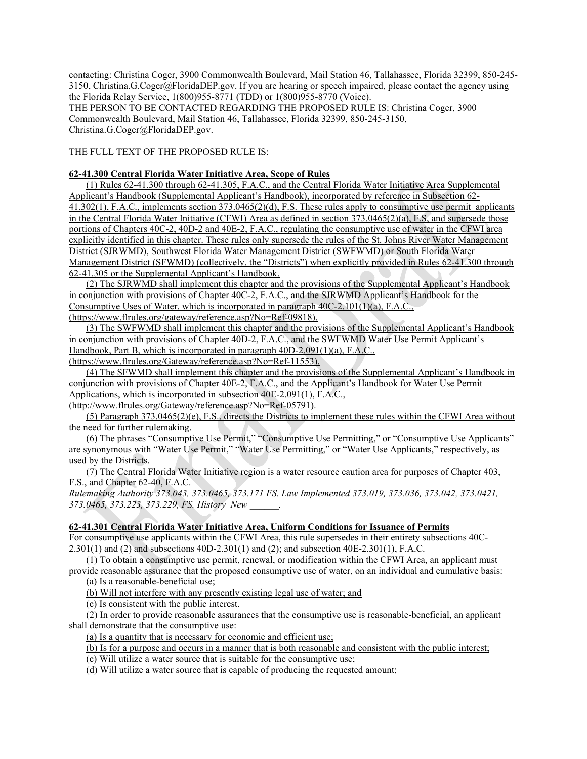contacting: Christina Coger, 3900 Commonwealth Boulevard, Mail Station 46, Tallahassee, Florida 32399, 850-245- 3150, Christina.G.Coger@FloridaDEP.gov. If you are hearing or speech impaired, please contact the agency using the Florida Relay Service, 1(800)955-8771 (TDD) or 1(800)955-8770 (Voice).

THE PERSON TO BE CONTACTED REGARDING THE PROPOSED RULE IS: Christina Coger, 3900 Commonwealth Boulevard, Mail Station 46, Tallahassee, Florida 32399, 850-245-3150, Christina.G.Coger@FloridaDEP.gov.

THE FULL TEXT OF THE PROPOSED RULE IS:

## **62-41.300 Central Florida Water Initiative Area, Scope of Rules**

(1) Rules 62-41.300 through 62-41.305, F.A.C., and the Central Florida Water Initiative Area Supplemental Applicant's Handbook (Supplemental Applicant's Handbook), incorporated by reference in Subsection 62- 41.302(1), F.A.C., implements section 373.0465(2)(d), F.S. These rules apply to consumptive use permit applicants in the Central Florida Water Initiative (CFWI) Area as defined in section 373.0465(2)(a), F.S, and supersede those portions of Chapters 40C-2, 40D-2 and 40E-2, F.A.C., regulating the consumptive use of water in the CFWI area explicitly identified in this chapter. These rules only supersede the rules of the St. Johns River Water Management District (SJRWMD), Southwest Florida Water Management District (SWFWMD) or South Florida Water Management District (SFWMD) (collectively, the "Districts") when explicitly provided in Rules 62-41.300 through 62-41.305 or the Supplemental Applicant's Handbook.

(2) The SJRWMD shall implement this chapter and the provisions of the Supplemental Applicant's Handbook in conjunction with provisions of Chapter 40C-2, F.A.C., and the SJRWMD Applicant's Handbook for the Consumptive Uses of Water, which is incorporated in paragraph 40C-2.101(1)(a), F.A.C.,

(https://www.flrules.org/gateway/reference.asp?No=Ref-09818).

(3) The SWFWMD shall implement this chapter and the provisions of the Supplemental Applicant's Handbook in conjunction with provisions of Chapter 40D-2, F.A.C., and the SWFWMD Water Use Permit Applicant's Handbook, Part B, which is incorporated in paragraph 40D-2.091(1)(a), F.A.C., (https://www.flrules.org/Gateway/reference.asp?No=Ref-11553).

(4) The SFWMD shall implement this chapter and the provisions of the Supplemental Applicant's Handbook in conjunction with provisions of Chapter 40E-2, F.A.C., and the Applicant's Handbook for Water Use Permit Applications, which is incorporated in subsection 40E-2.091(1), F.A.C., (http://www.flrules.org/Gateway/reference.asp?No=Ref-05791).

(5) Paragraph 373.0465(2)(e), F.S., directs the Districts to implement these rules within the CFWI Area without the need for further rulemaking.

(6) The phrases "Consumptive Use Permit," "Consumptive Use Permitting," or "Consumptive Use Applicants" are synonymous with "Water Use Permit," "Water Use Permitting," or "Water Use Applicants," respectively, as used by the Districts.

(7) The Central Florida Water Initiative region is a water resource caution area for purposes of Chapter 403, F.S., and Chapter 62-40, F.A.C.

*Rulemaking Authority 373.043, 373.0465, 373.171 FS. Law Implemented 373.019, 373.036, 373.042, 373.0421, 373.0465, 373.223, 373.229, FS. History–New \_\_\_\_\_\_.*

### **62-41.301 Central Florida Water Initiative Area, Uniform Conditions for Issuance of Permits**

For consumptive use applicants within the CFWI Area, this rule supersedes in their entirety subsections 40C-2.301(1) and (2) and subsections 40D-2.301(1) and (2); and subsection 40E-2.301(1), F.A.C.

(1) To obtain a consumptive use permit, renewal, or modification within the CFWI Area, an applicant must provide reasonable assurance that the proposed consumptive use of water, on an individual and cumulative basis:

(a) Is a reasonable-beneficial use;

(b) Will not interfere with any presently existing legal use of water; and

(c) Is consistent with the public interest.

(2) In order to provide reasonable assurances that the consumptive use is reasonable-beneficial, an applicant shall demonstrate that the consumptive use:

(a) Is a quantity that is necessary for economic and efficient use;

(b) Is for a purpose and occurs in a manner that is both reasonable and consistent with the public interest;

(c) Will utilize a water source that is suitable for the consumptive use;

(d) Will utilize a water source that is capable of producing the requested amount;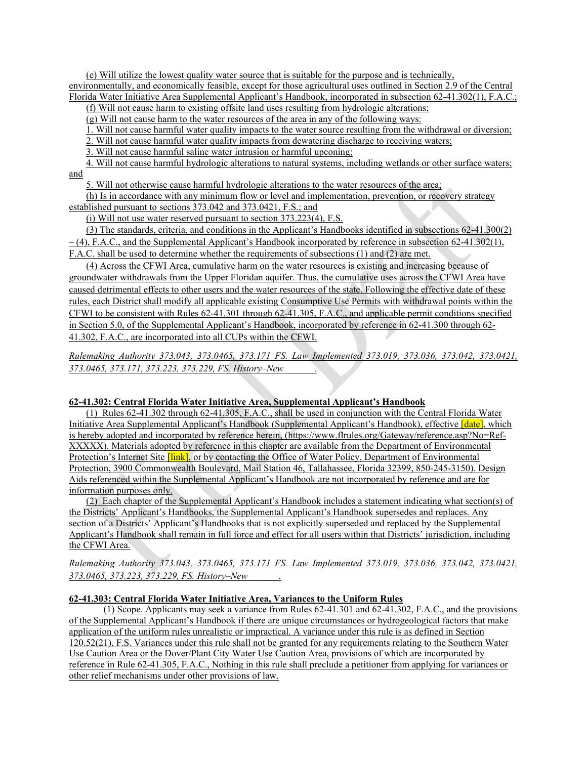(e) Will utilize the lowest quality water source that is suitable for the purpose and is technically, environmentally, and economically feasible, except for those agricultural uses outlined in Section 2.9 of the Central Florida Water Initiative Area Supplemental Applicant's Handbook, incorporated in subsection 62-41.302(1), F.A.C.;

(f) Will not cause harm to existing offsite land uses resulting from hydrologic alterations;

(g) Will not cause harm to the water resources of the area in any of the following ways:

1. Will not cause harmful water quality impacts to the water source resulting from the withdrawal or diversion;

2. Will not cause harmful water quality impacts from dewatering discharge to receiving waters;

3. Will not cause harmful saline water intrusion or harmful upconing;

4. Will not cause harmful hydrologic alterations to natural systems, including wetlands or other surface waters; and

5. Will not otherwise cause harmful hydrologic alterations to the water resources of the area;

(h) Is in accordance with any minimum flow or level and implementation, prevention, or recovery strategy established pursuant to sections 373.042 and 373.0421, F.S.; and

(i) Will not use water reserved pursuant to section 373.223(4), F.S.

(3) The standards, criteria, and conditions in the Applicant's Handbooks identified in subsections 62-41.300(2)  $-$  (4), F.A.C., and the Supplemental Applicant's Handbook incorporated by reference in subsection 62-41.302(1), F.A.C. shall be used to determine whether the requirements of subsections (1) and (2) are met.

(4) Across the CFWI Area, cumulative harm on the water resources is existing and increasing because of groundwater withdrawals from the Upper Floridan aquifer. Thus, the cumulative uses across the CFWI Area have caused detrimental effects to other users and the water resources of the state. Following the effective date of these rules, each District shall modify all applicable existing Consumptive Use Permits with withdrawal points within the CFWI to be consistent with Rules 62-41.301 through 62-41.305, F.A.C., and applicable permit conditions specified in Section 5.0, of the Supplemental Applicant's Handbook, incorporated by reference in 62-41.300 through 62- 41.302, F.A.C., are incorporated into all CUPs within the CFWI.

*Rulemaking Authority 373.043, 373.0465, 373.171 FS. Law Implemented 373.019, 373.036, 373.042, 373.0421, 373.0465, 373.171, 373.223, 373.229, FS. History–New \_\_\_\_\_\_.*

# **62-41.302: Central Florida Water Initiative Area, Supplemental Applicant's Handbook**

(1) Rules 62-41.302 through 62-41.305, F.A.C., shall be used in conjunction with the Central Florida Water Initiative Area Supplemental Applicant's Handbook (Supplemental Applicant's Handbook), effective *[date]*, which is hereby adopted and incorporated by reference herein, (https://www.flrules.org/Gateway/reference.asp?No=Ref-XXXXX). Materials adopted by reference in this chapter are available from the Department of Environmental Protection's Internet Site *[link]*, or by contacting the Office of Water Policy, Department of Environmental Protection, 3900 Commonwealth Boulevard, Mail Station 46, Tallahassee, Florida 32399, 850-245-3150). Design Aids referenced within the Supplemental Applicant's Handbook are not incorporated by reference and are for information purposes only.

(2) Each chapter of the Supplemental Applicant's Handbook includes a statement indicating what section(s) of the Districts' Applicant's Handbooks, the Supplemental Applicant's Handbook supersedes and replaces. Any section of a Districts' Applicant's Handbooks that is not explicitly superseded and replaced by the Supplemental Applicant's Handbook shall remain in full force and effect for all users within that Districts' jurisdiction, including the CFWI Area.

# *Rulemaking Authority 373.043, 373.0465, 373.171 FS. Law Implemented 373.019, 373.036, 373.042, 373.0421, 373.0465, 373.223, 373.229, FS. History–New \_\_\_\_\_\_.*

## **62-41.303: Central Florida Water Initiative Area, Variances to the Uniform Rules**

(1) Scope. Applicants may seek a variance from Rules 62-41.301 and 62-41.302, F.A.C., and the provisions of the Supplemental Applicant's Handbook if there are unique circumstances or hydrogeological factors that make application of the uniform rules unrealistic or impractical. A variance under this rule is as defined in Section 120.52(21), F.S. Variances under this rule shall not be granted for any requirements relating to the Southern Water Use Caution Area or the Dover/Plant City Water Use Caution Area, provisions of which are incorporated by reference in Rule 62-41.305, F.A.C., Nothing in this rule shall preclude a petitioner from applying for variances or other relief mechanisms under other provisions of law.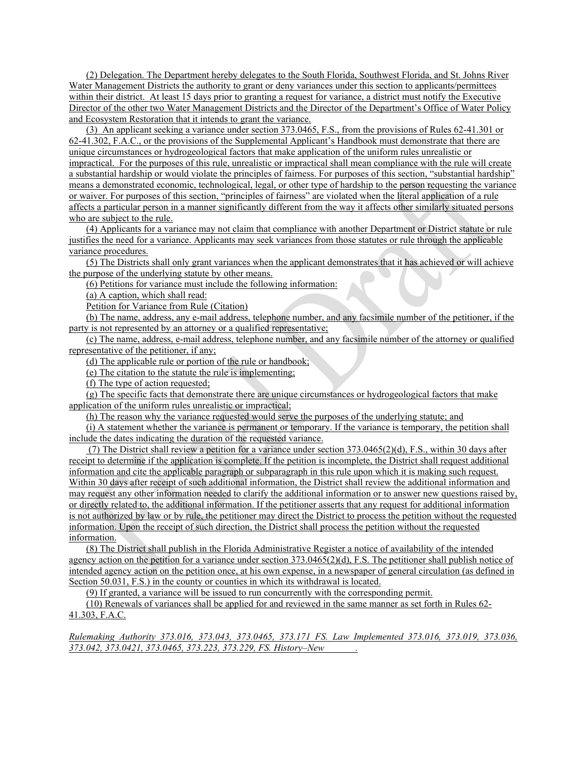(2) Delegation. The Department hereby delegates to the South Florida, Southwest Florida, and St. Johns River Water Management Districts the authority to grant or deny variances under this section to applicants/permittees within their district. At least 15 days prior to granting a request for variance, a district must notify the Executive Director of the other two Water Management Districts and the Director of the Department's Office of Water Policy and Ecosystem Restoration that it intends to grant the variance.

(3) An applicant seeking a variance under section 373.0465, F.S., from the provisions of Rules 62-41.301 or 62-41.302, F.A.C., or the provisions of the Supplemental Applicant's Handbook must demonstrate that there are unique circumstances or hydrogeological factors that make application of the uniform rules unrealistic or impractical. For the purposes of this rule, unrealistic or impractical shall mean compliance with the rule will create a substantial hardship or would violate the principles of fairness. For purposes of this section, "substantial hardship" means a demonstrated economic, technological, legal, or other type of hardship to the person requesting the variance or waiver. For purposes of this section, "principles of fairness" are violated when the literal application of a rule affects a particular person in a manner significantly different from the way it affects other similarly situated persons who are subject to the rule.

(4) Applicants for a variance may not claim that compliance with another Department or District statute or rule justifies the need for a variance. Applicants may seek variances from those statutes or rule through the applicable variance procedures.

(5) The Districts shall only grant variances when the applicant demonstrates that it has achieved or will achieve the purpose of the underlying statute by other means.

(6) Petitions for variance must include the following information:

(a) A caption, which shall read:

Petition for Variance from Rule (Citation)

(b) The name, address, any e-mail address, telephone number, and any facsimile number of the petitioner, if the party is not represented by an attorney or a qualified representative;

(c) The name, address, e-mail address, telephone number, and any facsimile number of the attorney or qualified representative of the petitioner, if any;

(d) The applicable rule or portion of the rule or handbook;

(e) The citation to the statute the rule is implementing;

(f) The type of action requested;

(g) The specific facts that demonstrate there are unique circumstances or hydrogeological factors that make application of the uniform rules unrealistic or impractical;

(h) The reason why the variance requested would serve the purposes of the underlying statute; and

(i) A statement whether the variance is permanent or temporary. If the variance is temporary, the petition shall include the dates indicating the duration of the requested variance.

(7) The District shall review a petition for a variance under section 373.0465(2)(d), F.S., within 30 days after receipt to determine if the application is complete. If the petition is incomplete, the District shall request additional information and cite the applicable paragraph or subparagraph in this rule upon which it is making such request. Within 30 days after receipt of such additional information, the District shall review the additional information and may request any other information needed to clarify the additional information or to answer new questions raised by, or directly related to, the additional information. If the petitioner asserts that any request for additional information is not authorized by law or by rule, the petitioner may direct the District to process the petition without the requested information. Upon the receipt of such direction, the District shall process the petition without the requested information.

(8) The District shall publish in the Florida Administrative Register a notice of availability of the intended agency action on the petition for a variance under section  $373.0465(2)(d)$ , F.S. The petitioner shall publish notice of intended agency action on the petition once, at his own expense, in a newspaper of general circulation (as defined in Section 50.031, F.S.) in the county or counties in which its withdrawal is located.

(9) If granted, a variance will be issued to run concurrently with the corresponding permit.

(10) Renewals of variances shall be applied for and reviewed in the same manner as set forth in Rules 62- 41.303, F.A.C.

*Rulemaking Authority 373.016, 373.043, 373.0465, 373.171 FS. Law Implemented 373.016, 373.019, 373.036, 373.042, 373.0421, 373.0465, 373.223, 373.229, FS. History–New \_\_\_\_\_\_.*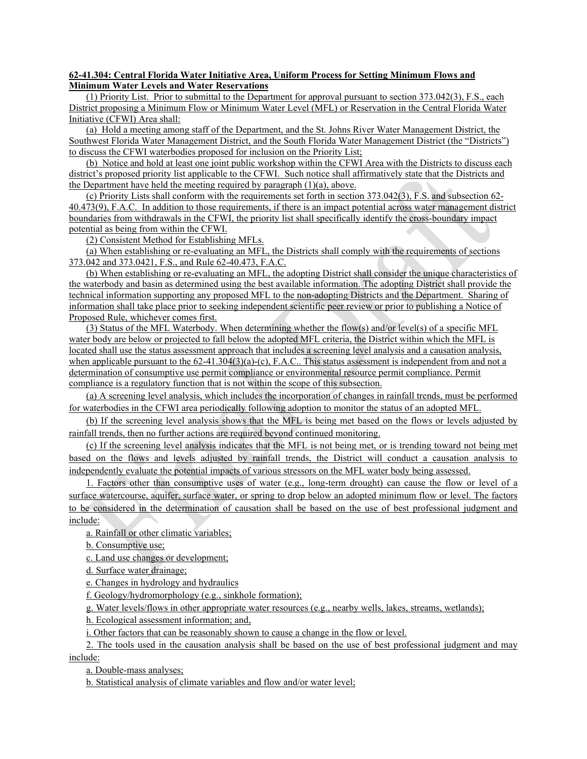### **62-41.304: Central Florida Water Initiative Area, Uniform Process for Setting Minimum Flows and Minimum Water Levels and Water Reservations**

(1) Priority List. Prior to submittal to the Department for approval pursuant to section 373.042(3), F.S., each District proposing a Minimum Flow or Minimum Water Level (MFL) or Reservation in the Central Florida Water Initiative (CFWI) Area shall:

(a) Hold a meeting among staff of the Department, and the St. Johns River Water Management District, the Southwest Florida Water Management District, and the South Florida Water Management District (the "Districts") to discuss the CFWI waterbodies proposed for inclusion on the Priority List;

(b) Notice and hold at least one joint public workshop within the CFWI Area with the Districts to discuss each district's proposed priority list applicable to the CFWI. Such notice shall affirmatively state that the Districts and the Department have held the meeting required by paragraph  $(1)(a)$ , above.

(c) Priority Lists shall conform with the requirements set forth in section 373.042(3), F.S. and subsection 62- 40.473(9), F.A.C. In addition to those requirements, if there is an impact potential across water management district boundaries from withdrawals in the CFWI, the priority list shall specifically identify the cross-boundary impact potential as being from within the CFWI.

(2) Consistent Method for Establishing MFLs.

(a) When establishing or re-evaluating an MFL, the Districts shall comply with the requirements of sections 373.042 and 373.0421, F.S., and Rule 62-40.473, F.A.C.

(b) When establishing or re-evaluating an MFL, the adopting District shall consider the unique characteristics of the waterbody and basin as determined using the best available information. The adopting District shall provide the technical information supporting any proposed MFL to the non-adopting Districts and the Department. Sharing of information shall take place prior to seeking independent scientific peer review or prior to publishing a Notice of Proposed Rule, whichever comes first.

(3) Status of the MFL Waterbody. When determining whether the flow(s) and/or level(s) of a specific MFL water body are below or projected to fall below the adopted MFL criteria, the District within which the MFL is located shall use the status assessment approach that includes a screening level analysis and a causation analysis, when applicable pursuant to the 62-41.304(3)(a)-(c), F.A.C.. This status assessment is independent from and not a determination of consumptive use permit compliance or environmental resource permit compliance. Permit compliance is a regulatory function that is not within the scope of this subsection.

(a) A screening level analysis, which includes the incorporation of changes in rainfall trends, must be performed for waterbodies in the CFWI area periodically following adoption to monitor the status of an adopted MFL.

(b) If the screening level analysis shows that the MFL is being met based on the flows or levels adjusted by rainfall trends, then no further actions are required beyond continued monitoring.

(c) If the screening level analysis indicates that the MFL is not being met, or is trending toward not being met based on the flows and levels adjusted by rainfall trends, the District will conduct a causation analysis to independently evaluate the potential impacts of various stressors on the MFL water body being assessed.

1. Factors other than consumptive uses of water (e.g., long-term drought) can cause the flow or level of a surface watercourse, aquifer, surface water, or spring to drop below an adopted minimum flow or level. The factors to be considered in the determination of causation shall be based on the use of best professional judgment and include:

a. Rainfall or other climatic variables;

b. Consumptive use;

c. Land use changes or development;

d. Surface water drainage;

e. Changes in hydrology and hydraulics

f. Geology/hydromorphology (e.g., sinkhole formation);

g. Water levels/flows in other appropriate water resources (e.g., nearby wells, lakes, streams, wetlands);

h. Ecological assessment information; and,

i. Other factors that can be reasonably shown to cause a change in the flow or level.

2. The tools used in the causation analysis shall be based on the use of best professional judgment and may include:

a. Double-mass analyses;

b. Statistical analysis of climate variables and flow and/or water level;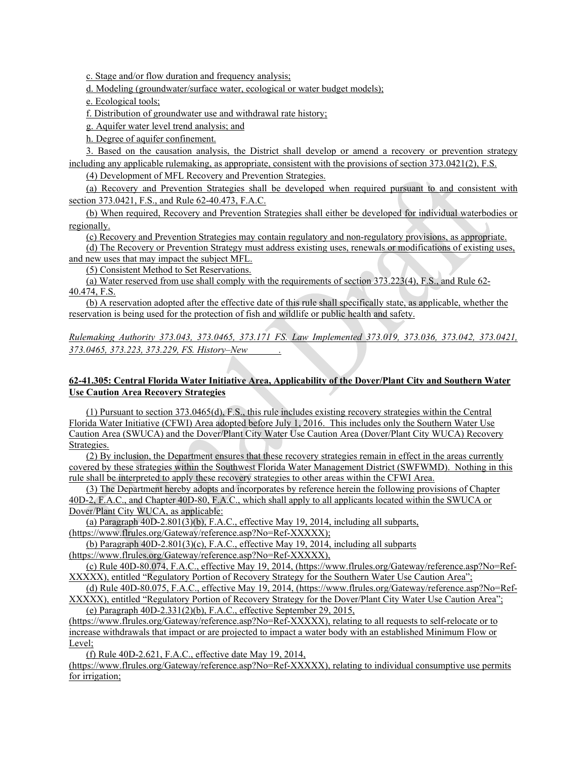c. Stage and/or flow duration and frequency analysis;

d. Modeling (groundwater/surface water, ecological or water budget models);

e. Ecological tools;

f. Distribution of groundwater use and withdrawal rate history;

g. Aquifer water level trend analysis; and

h. Degree of aquifer confinement.

3. Based on the causation analysis, the District shall develop or amend a recovery or prevention strategy including any applicable rulemaking, as appropriate, consistent with the provisions of section 373.0421(2), F.S.

(4) Development of MFL Recovery and Prevention Strategies.

(a) Recovery and Prevention Strategies shall be developed when required pursuant to and consistent with section 373.0421, F.S., and Rule 62-40.473, F.A.C.

(b) When required, Recovery and Prevention Strategies shall either be developed for individual waterbodies or regionally.

(c) Recovery and Prevention Strategies may contain regulatory and non-regulatory provisions, as appropriate.

(d) The Recovery or Prevention Strategy must address existing uses, renewals or modifications of existing uses, and new uses that may impact the subject MFL.

(5) Consistent Method to Set Reservations.

(a) Water reserved from use shall comply with the requirements of section 373.223(4), F.S., and Rule 62- 40.474, F.S.

(b) A reservation adopted after the effective date of this rule shall specifically state, as applicable, whether the reservation is being used for the protection of fish and wildlife or public health and safety.

# *Rulemaking Authority 373.043, 373.0465, 373.171 FS. Law Implemented 373.019, 373.036, 373.042, 373.0421, 373.0465, 373.223, 373.229, FS. History–New \_\_\_\_\_\_.*

# **62-41.305: Central Florida Water Initiative Area, Applicability of the Dover/Plant City and Southern Water Use Caution Area Recovery Strategies**

(1) Pursuant to section 373.0465(d), F.S., this rule includes existing recovery strategies within the Central Florida Water Initiative (CFWI) Area adopted before July 1, 2016. This includes only the Southern Water Use Caution Area (SWUCA) and the Dover/Plant City Water Use Caution Area (Dover/Plant City WUCA) Recovery Strategies.

(2) By inclusion, the Department ensures that these recovery strategies remain in effect in the areas currently covered by these strategies within the Southwest Florida Water Management District (SWFWMD). Nothing in this rule shall be interpreted to apply these recovery strategies to other areas within the CFWI Area.

(3) The Department hereby adopts and incorporates by reference herein the following provisions of Chapter 40D-2, F.A.C., and Chapter 40D-80, F.A.C., which shall apply to all applicants located within the SWUCA or Dover/Plant City WUCA, as applicable:

(a) Paragraph 40D-2.801(3)(b), F.A.C., effective May 19, 2014, including all subparts, (https://www.flrules.org/Gateway/reference.asp?No=Ref-XXXXX);

(b) Paragraph  $40D-2.801(3)(c)$ , F.A.C., effective May 19, 2014, including all subparts

(https://www.flrules.org/Gateway/reference.asp?No=Ref-XXXXX),

(c) Rule 40D-80.074, F.A.C., effective May 19, 2014, (https://www.flrules.org/Gateway/reference.asp?No=Ref-XXXXX), entitled "Regulatory Portion of Recovery Strategy for the Southern Water Use Caution Area";

(d) Rule 40D-80.075, F.A.C., effective May 19, 2014, (https://www.flrules.org/Gateway/reference.asp?No=Ref-XXXXX), entitled "Regulatory Portion of Recovery Strategy for the Dover/Plant City Water Use Caution Area";

(e) Paragraph 40D-2.331(2)(b), F.A.C., effective September 29, 2015,

(https://www.flrules.org/Gateway/reference.asp?No=Ref-XXXXX), relating to all requests to self-relocate or to increase withdrawals that impact or are projected to impact a water body with an established Minimum Flow or Level;

(f) Rule 40D-2.621, F.A.C., effective date May 19, 2014,

(https://www.flrules.org/Gateway/reference.asp?No=Ref-XXXXX), relating to individual consumptive use permits for irrigation;